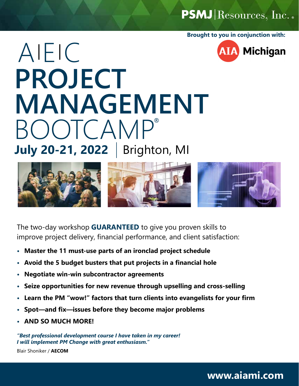PSMJ Resources, Inc. .

**Brought to you in conjunction with:**

**AIA Michigan** 

# **July 20-21, 2022** Brighton, MI**PROJECT MANAGEMENT** BOOTCAMP ® AIEIC



The two-day workshop **GUARANTEED** to give you proven skills to improve project delivery, financial performance, and client satisfaction:

- **• Master the 11 must-use parts of an ironclad project schedule**
- **• Avoid the 5 budget busters that put projects in a financial hole**
- **• Negotiate win-win subcontractor agreements**
- **• Seize opportunities for new revenue through upselling and cross-selling**
- **• Learn the PM "wow!" factors that turn clients into evangelists for your firm**
- **• Spot—and fix—issues before they become major problems**
- **• AND SO MUCH MORE!**

*"Best professional development course I have taken in my career! I will implement PM Change with great enthusiasm."*

Blair Shoniker / **AECOM**

### **www.aiami.com**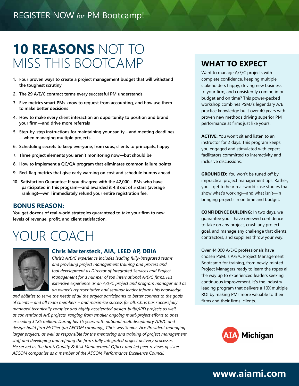## **10 REASONS** NOT TO MISS THIS BOOTCAMP **WHAT TO EXPECT**

- **1. Four proven ways to create a project management budget that will withstand the toughest scrutiny**
- **2. The 29 A/E/C contract terms every successful PM understands**
- **3. Five metrics smart PMs know to request from accounting, and how use them to make better decisions**
- **4. How to make every client interaction an opportunity to position and brand your firm—and drive more referrals**
- **5. Step-by-step instructions for maintaining your sanity—and meeting deadlines —when managing multiple projects**
- **6. Scheduling secrets to keep everyone, from subs, clients to principals, happy**
- **7. Three project elements you aren't monitoring now—but should be**
- **8. How to implement a QC/QA program that eliminates common failure points**
- **9. Red-flag metrics that give early warning on cost and schedule bumps ahead**
- **10. Satisfaction Guarantee: If you disagree with the 42,000+ PMs who have participated in this program—and awarded it 4.8 out of 5 stars (average ranking)—we'll immediately refund your entire registration fee.**

#### **BONUS REASON:**

**You get dozens of real-world strategies guaranteed to take your firm to new levels of revenue, profit, and client satisfaction.**

## YOUR COACH



#### **Chris Martersteck, AIA, LEED AP, DBIA**

*Chris's A/E/C experience includes leading fully-integrated teams and providing project management training and process and tool development as Director of Integrated Services and Project Management for a number of top international A/E/C firms. His extensive experience as an A/E/C project and program manager and as an owner's representative and seminar leader informs his knowledge* 

*and abilities to serve the needs of all the project participants to better connect to the goals of clients – and all team members – and maximize success for all. Chris has successfully managed technically complex and highly accelerated design-build/IPD projects as well as conventional A/E projects, ranging from smaller ongoing multi-project efforts to ones exceeding \$125 million. During his 15 years with national multidisciplinary A/E/C and design-build firm McClier (an AECOM company), Chris was Senior Vice President managing larger projects, as well as responsible for the mentoring and training of project management staff and developing and refining the firm's fully integrated project delivery processes. He served as the firm's Quality & Risk Management Officer and led peer reviews of sister AECOM companies as a member of the AECOM Performance Excellence Council.*

Want to manage A/E/C projects with complete confidence, keeping multiple stakeholders happy, driving new business to your firm, and consistently coming in on budget and on time? This power-packed workshop combines PSMJ's legendary A/E practice knowledge built over 40 years with proven new methods driving superior PM performance at firms just like yours.

**ACTIVE:** You won't sit and listen to an instructor for 2 days. This program keeps you engaged and stimulated with expert facilitators committed to interactivity and inclusive discussions.

**GROUNDED:** You won't be tuned off by impractical project management tips. Rather, you'll get to hear real-world case studies that show what's working—and what isn't—in bringing projects in on time and budget.

**CONFIDENCE BUILDING:** In two days, we guarantee you'll have renewed confidence to take on any project, crush any project goal, and manage any challenge that clients, contractors, and suppliers throw your way.

Over 44.000 A/E/C professionals have chosen PSMJ's A/E/C Project Management Bootcamp for training, from newly-minted Project Managers ready to learn the ropes all the way up to experienced leaders seeking continuous improvement. It's the industryleading program that delivers a 10X multiple ROI by making PMs more valuable to their firms and their firms' clients.



## **www.aiami.com**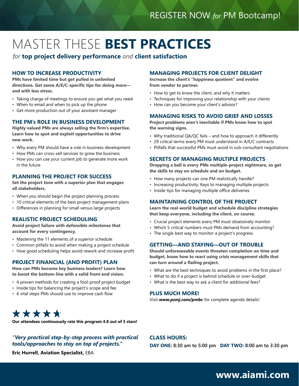## MASTER THESE **BEST PRACTICES**

*for* **top project delivery performance** *and* **client satisfaction**

#### **HOW TO INCREASE PRODUCTIVITY**

**PMs have limited time but get pulled in unlimited directions. Get some A/E/C-specific tips for doing more and with less stress.**

- Taking charge of meetings to ensure you get what you need
- When to email and when to pick up the phone
- Get more production out of your assistant manager

#### **THE PM's ROLE IN BUSINESS DEVELOPMENT**

**Highly valued PMs are always selling the firm's expertise. Learn how to spot and exploit opportunities to drive new work.** 

- Why every PM should have a role in business development
- How PMs can cross-sell services to grow the business
- How you can use your current job to generate more work in the future

#### **PLANNING THE PROJECT FOR SUCCESS**

**Set the project tone with a superior plan that engages all stakeholders.** 

- When you should begin the project planning process
- 10 critical elements of the best project management plans
- Differences in planning for small versus large projects

#### **REALISTIC PROJECT SCHEDULING**

**Avoid project failure with defensible milestones that account for every contingency.**

- Mastering the 11 elements of a superior schedule
- Common pitfalls to avoid when making a project schedule
- How good scheduling helps avoid rework and increase profit

#### **PROJECT FINANCIAL (AND PROFIT) PLAN**

**How can PMs become key business leaders? Learn how to boost the bottom-line with a solid front-end vision.** 

- 4 proven methods for creating a fool-proof project budget
- Inside tips for balancing the project's scope and fee
- 6 vital steps PMs should use to improve cash flow

## \*\*\*\*\*

**Our attendees continuously rate this program 4.8 out of 5 stars!** 

#### *"Very practical step-by-step process with practical tools/approaches to stay on top of projects."*

#### **MANAGING PROJECTS FOR CLIENT DELIGHT**

**Increase the client's "happiness quotient" and evolve from vendor to partner.**

- How to get to know the client, and why it matters
- Techniques for improving your relationship with your clients
- How can you become your client's advisor?

#### **MANAGING RISKS TO AVOID GRIEF AND LOSSES**

**Project problems aren't inevitable if PMs know how to spot the warning signs.** 

- Why traditional QA/QC fails and how to approach it differently
- 29 critical terms every PM must understand in A/E/C contracts
- Pitfalls that successful PMs must avoid in sub-consultant negotiations

#### **SECRETS OF MANAGING MULTIPLE PROJECTS**

**Dropping a ball is every PMs multiple-project nightmare, so get the skills to stay on schedule and on budget.**

- How many projects can one PM realistically handle?
- Increasing productivity: Keys to managing multiple projects
- Inside tips for managing multiple office deliveries

#### **MAINTAINING CONTROL OF THE PROJECT**

**Learn the real-world budget and schedule discipline strategies that keep everyone, including the client, on course.**

- Crucial project elements every PM must obsessively monitor
- Which 5 critical numbers must PMs demand from accounting?
- The single best way to monitor a project's progress

#### **GETTING—AND STAYING—OUT OF TROUBLE**

**Should unforeseeable events threaten completion on time and budget, know how to react using crisis management skills that can turn around a flailing project.**

• What are the best techniques to avoid problems in the first place?

**DAY ONE: 8:30 am to 5:00 pm DAY TWO: 8:00 am to 3:30 pm**

- What to do if a project is behind schedule or over-budget
- What is the best way to ask a client for additional fees?

#### **PLUS MUCH MORE!**

**CLASS HOURS:** 

Visit *www.psmj.com/pmbc* for complete agenda details!

**www.aiami.com**

**Eric Hurrell, Aviation Specialist,** EBA